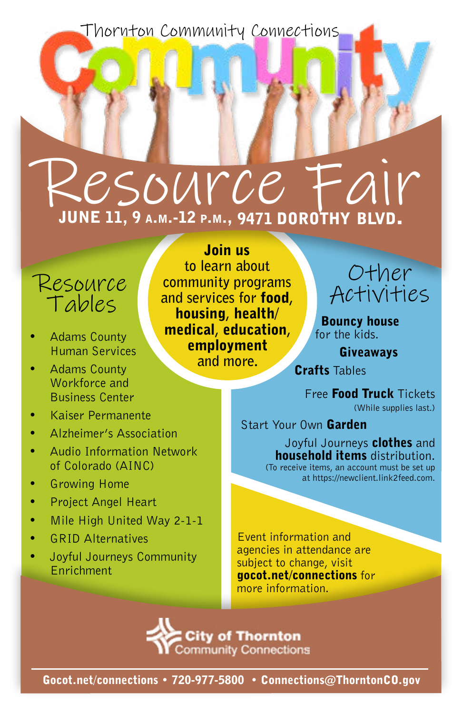Thornton Community Connections

## Resource june 11, 9 a.m.-12 p.m., 9471 dorothy blvd.

## Tables

- Adams County Human Services
- Adams County Workforce and Business Center
- Kaiser Permanente
- Alzheimer's Association
- Audio Information Network of Colorado (AINC)
- Growing Home
- Project Angel Heart
- Mile High United Way 2-1-1
- GRID Alternatives
- Joyful Journeys Community Enrichment

Join us **to learn about community programs and services for** food**,**  housing**,** health/ medical**,** education**,**  employment **and more.**  Resource community programs<br>  $\tau$  algles and services for **food**,  $\tau$  Activities



Bouncy house for the kids.

Giveaways

Crafts Tables

Free Food Truck Tickets (While supplies last.)

Start Your Own Garden

Joyful Journeys **clothes** and household items distribution. (To receive items, an account must be set up at https://newclient.link2feed.com.

Event information and agencies in attendance are subject to change, visit gocot.net/connections for more information.

**City of Thornton Community Connections** 

Gocot.net/connections • 720-977-5800 • Connections@ThorntonCO.gov